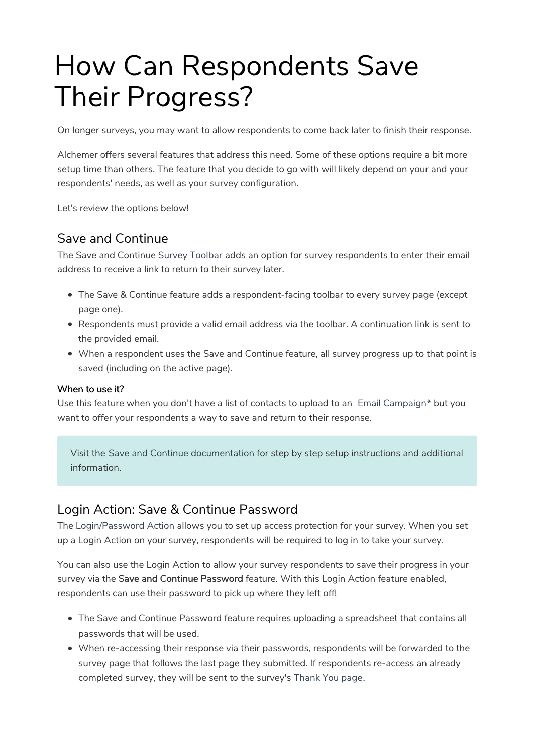# How Can Respondents Save Their Progress?

On longer surveys, you may want to allow respondents to come back later to finish their response.

Alchemer offers several features that address this need. Some of these options require a bit more setup time than others. The feature that you decide to go with will likely depend on your and your respondents' needs, as well as your survey configuration.

Let's review the options below!

# Save and Continue

The Save and Continue Survey Toolbar adds an option for survey respondents to enter their email address to receive a link to return to their survey later.

- The Save & Continue feature adds a respondent-facing toolbar to every survey page (except page one).
- Respondents must provide a valid email address via the toolbar. A continuation link is sent to the provided email.
- When a respondent uses the Save and Continue feature, all survey progress up to that point is saved (including on the active page).

#### When to use it?

Use this feature when you don't have a list of contacts to upload to an Email Campaign\* but you want to offer your respondents a way to save and return to their response.

Visit the Save and Continue documentation for step by step setup instructions and additional information.

# Login Action: Save & Continue Password

The Login/Password Action allows you to set up access protection for your survey. When you set up a Login Action on your survey, respondents will be required to log in to take your survey.

You can also use the Login Action to allow your survey respondents to save their progress in your survey via the Save and Continue Password feature. With this Login Action feature enabled, respondents can use their password to pick up where they left off!

- The Save and Continue Password feature requires uploading a spreadsheet that contains all passwords that will be used.
- When re-accessing their response via their passwords, respondents will be forwarded to the survey page that follows the last page they submitted. If respondents re-access an already completed survey, they will be sent to the survey's Thank You page.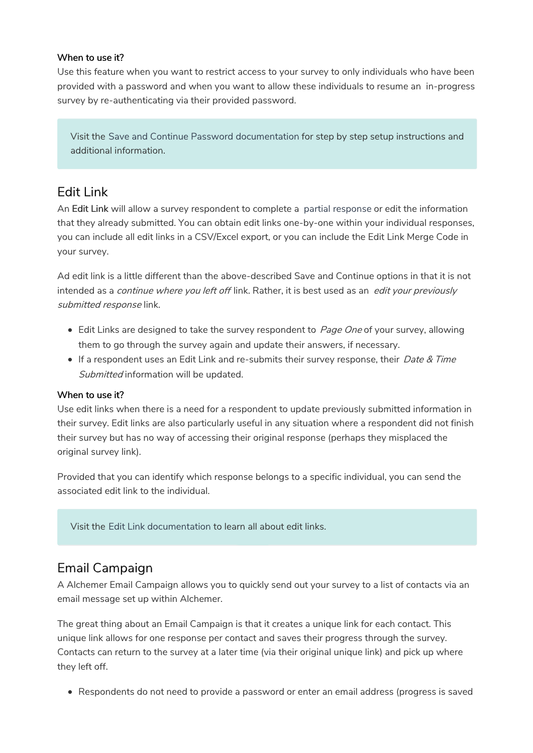#### When to use it?

Use this feature when you want to restrict access to your survey to only individuals who have been provided with a password and when you want to allow these individuals to resume an in-progress survey by re-authenticating via their provided password.

Visit the Save and Continue Password documentation for step by step setup instructions and additional information.

## Edit Link

An Edit Link will allow a survey respondent to complete a partial response or edit the information that they already submitted. You can obtain edit links one-by-one within your individual responses, you can include all edit links in a CSV/Excel export, or you can include the Edit Link Merge Code in your survey.

Ad edit link is a little different than the above-described Save and Continue options in that it is not intended as a *continue where you left off* link. Rather, it is best used as an *edit your previously* submitted response link.

- **Edit Links are designed to take the survey respondent to Page One of your survey, allowing** them to go through the survey again and update their answers, if necessary.
- If a respondent uses an Edit Link and re-submits their survey response, their Date & Time Submitted information will be updated.

#### When to use it?

Use edit links when there is a need for a respondent to update previously submitted information in their survey. Edit links are also particularly useful in any situation where a respondent did not finish their survey but has no way of accessing their original response (perhaps they misplaced the original survey link).

Provided that you can identify which response belongs to a specific individual, you can send the associated edit link to the individual.

Visit the Edit Link documentation to learn all about edit links.

### Email Campaign

A Alchemer Email Campaign allows you to quickly send out your survey to a list of contacts via an email message set up within Alchemer.

The great thing about an Email Campaign is that it creates a unique link for each contact. This unique link allows for one response per contact and saves their progress through the survey. Contacts can return to the survey at a later time (via their original unique link) and pick up where they left off.

Respondents do not need to provide a password or enter an email address (progress is saved